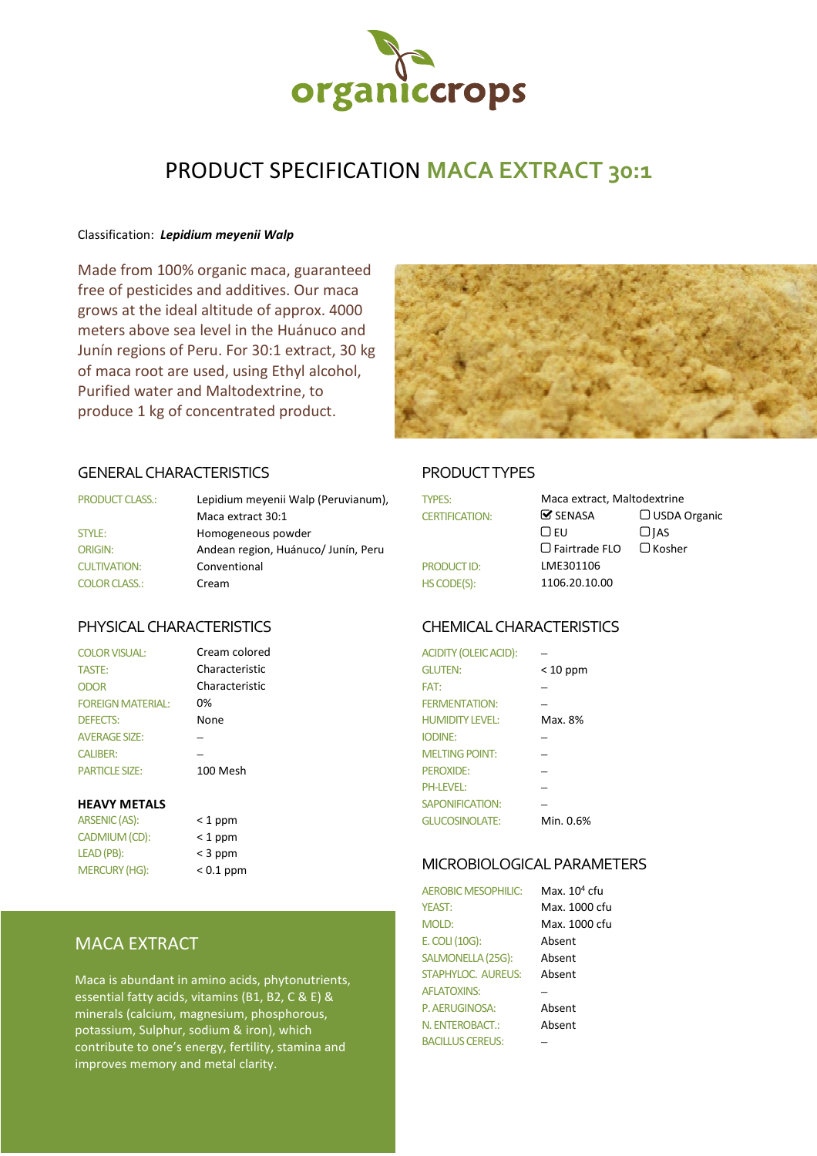

# PRODUCT SPECIFICATION **MACA EXTRACT 30:1**

#### Classification: *Lepidium meyenii Walp*

Made from 100% organic maca, guaranteed free of pesticides and additives. Our maca grows at the ideal altitude of approx. 4000 meters above sea level in the Huánuco and Junín regions of Peru. For 30:1 extract, 30 kg of maca root are used, using Ethyl alcohol, Purified water and Maltodextrine, to produce 1 kg of concentrated product.



### GENERAL CHARACTERISTICS PRODUCT TYPES

| <b>PRODUCT CLASS.:</b> | Lepidium meyenii Walp (Peruvianum), | <b>TYPES:</b>         | Maca extract, Maltodextrine   |               |
|------------------------|-------------------------------------|-----------------------|-------------------------------|---------------|
|                        | Maca extract 30:1                   | <b>CERTIFICATION:</b> | $\mathbf{\mathcal{S}}$ SENASA | $\Box$ USDA C |
| STYLE:                 | Homogeneous powder                  |                       | LJ EU                         | $\Box$ IAS    |
| <b>ORIGIN:</b>         | Andean region, Huánuco/Junín, Peru  |                       | $\Box$ Fairtrade FLO          | $\Box$ Kosher |
| <b>CULTIVATION:</b>    | Conventional                        | PRODUCT ID:           | LME301106                     |               |
| <b>COLOR CLASS.:</b>   | Cream                               | HS CODE(S):           | 1106.20.10.00                 |               |

### PHYSICAL CHARACTERISTICS CHEMICAL CHARACTERISTICS

| <b>COLOR VISUAL:</b>     |  |
|--------------------------|--|
| <b>TASTE:</b>            |  |
| ODOR                     |  |
| <b>FOREIGN MATERIAL:</b> |  |
| <b>DEFECTS:</b>          |  |
| <b>AVERAGE SIZE:</b>     |  |
| <b>CALIBER:</b>          |  |
| <b>PARTICLE SIZE:</b>    |  |

Cream colored

#### **HEAVY METALS**

| ARSENIC (AS):        | $<$ 1 ppm   |
|----------------------|-------------|
| CADMIUM (CD):        | $<$ 1 ppm   |
| LEAD (PB):           | $<$ 3 ppm   |
| <b>MERCURY (HG):</b> | $< 0.1$ ppr |

| < 1 ppm   |
|-----------|
| < 1 ppm   |
| < 3 ppm   |
| < 0.1 ppm |

## MACA EXTRACT

Maca is abundant in amino acids, phytonutrients, essential fatty acids, vitamins (B1, B2, C & E) & minerals (calcium, magnesium, phosphorous, potassium, Sulphur, sodium & iron), which contribute to one's energy, fertility, stamina and improves memory and metal clarity.

| <b>TYPES:</b>         | Maca extract, Maltodextrine   |                     |
|-----------------------|-------------------------------|---------------------|
| <b>CERTIFICATION:</b> | $\mathbf{\mathcal{C}}$ SENASA | $\Box$ USDA Organic |
|                       | $\bigcap$ FU                  | $\Box$ JAS          |
|                       | $\Box$ Fairtrade FLO          | $\Box$ Kosher       |
| <b>PRODUCT ID:</b>    | LME301106                     |                     |
| HS CODE(S):           | 1106.20.10.00                 |                     |

| <b>COLOR VISUAL:</b>     | Cream colored  | <b>ACIDITY (OLEIC ACID):</b> |            |
|--------------------------|----------------|------------------------------|------------|
| TASTE:                   | Characteristic | <b>GLUTEN:</b>               | $< 10$ ppm |
| <b>ODOR</b>              | Characteristic | FAT:                         |            |
| <b>FOREIGN MATERIAL:</b> | 0%             | <b>FERMENTATION:</b>         |            |
| <b>DEFECTS:</b>          | None           | <b>HUMIDITY LEVEL:</b>       | Max. 8%    |
| <b>AVERAGE SIZE:</b>     |                | <b>IODINE:</b>               |            |
| <b>CALIBER:</b>          |                | <b>MELTING POINT:</b>        |            |
| <b>PARTICLE SIZE:</b>    | 100 Mesh       | PEROXIDE:                    |            |
|                          |                | <b>PH-LEVEL:</b>             |            |
| <b>HEAVY METALS</b>      |                | <b>SAPONIFICATION:</b>       |            |
| ARSENIC (AS):            | $<$ 1 ppm      | <b>GLUCOSINOLATE:</b>        | Min. 0.6%  |

#### MICROBIOLOGICAL PARAMETERS

| <b>AEROBIC MESOPHILIC:</b> | Max. 10 <sup>4</sup> cfu |
|----------------------------|--------------------------|
| <b>YEAST:</b>              | Max. 1000 cfu            |
| <b>MOLD:</b>               | Max. 1000 cfu            |
| E. COLI (10G):             | Absent                   |
| SALMONELLA (25G):          | Absent                   |
| STAPHYLOC. AUREUS:         | Absent                   |
| <b>AFI ATOXINS:</b>        |                          |
| P. AERUGINOSA:             | Absent                   |
| N. ENTEROBACT.:            | Absent                   |
| <b>BACILLUS CEREUS:</b>    |                          |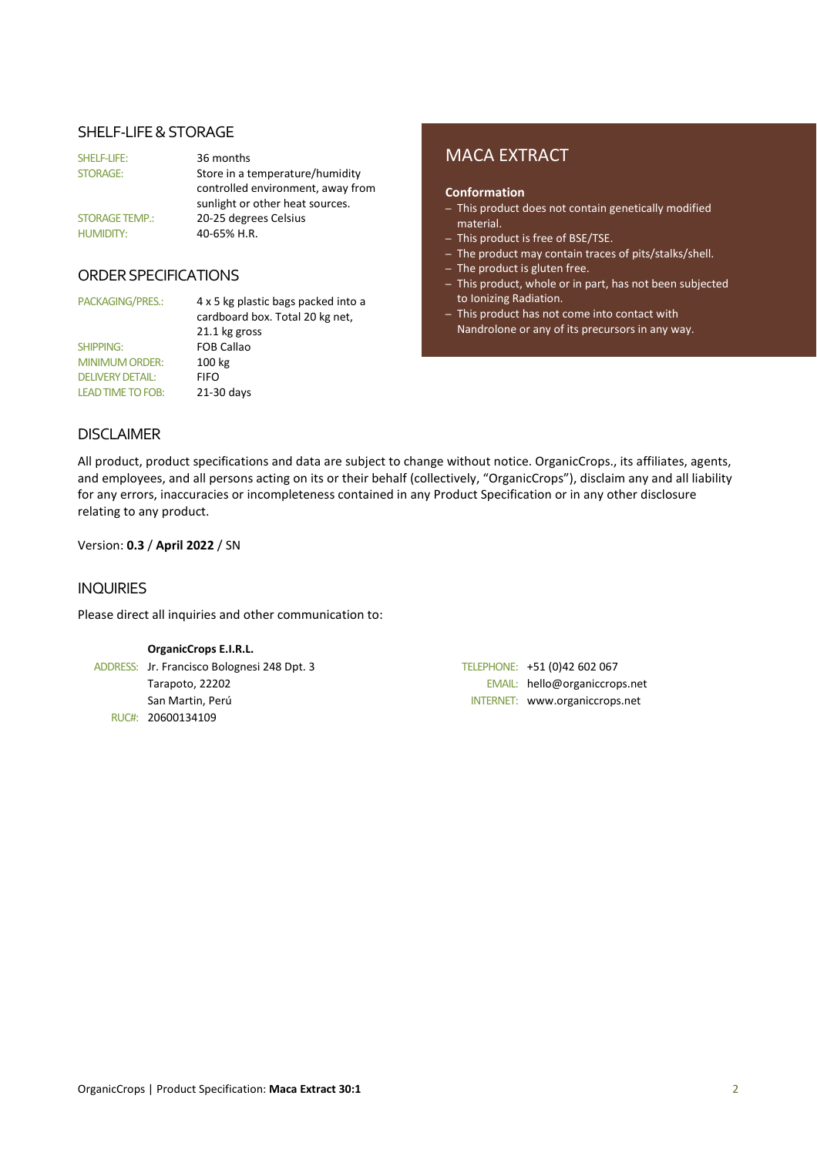#### SHELF-LIFE & STORAGE

| SHELF-LIFE:           | 36 months                         |  |
|-----------------------|-----------------------------------|--|
| <b>STORAGE:</b>       | Store in a temperature/humidity   |  |
|                       | controlled environment, away from |  |
|                       | sunlight or other heat sources.   |  |
| <b>STORAGE TEMP.:</b> | 20-25 degrees Celsius             |  |
| <b>HUMIDITY:</b>      | 40-65% H.R.                       |  |

### ORDER SPECIFICATIONS

| <b>PACKAGING/PRES</b> |  |  |
|-----------------------|--|--|
|-----------------------|--|--|

SHIPPING: FOB Callao MINIMUM ORDER: 100 kg DELIVERY DETAIL: FIFO LEAD TIME TO FOB: 21-30 days

 $S_{\cdot}$ : 4 x 5 kg plastic bags packed into a cardboard box. Total 20 kg net, 21.1 kg gross

# MACA EXTRACT

#### **Conformation**

- This product does not contain genetically modified material.
- This product is free of BSE/TSE.
- The product may contain traces of pits/stalks/shell.
- The product is gluten free.
- This product, whole or in part, has not been subjected to Ionizing Radiation.
- This product has not come into contact with Nandrolone or any of its precursors in any way.

#### DISCLAIMER

All product, product specifications and data are subject to change without notice. OrganicCrops., its affiliates, agents, and employees, and all persons acting on its or their behalf (collectively, "OrganicCrops"), disclaim any and all liability for any errors, inaccuracies or incompleteness contained in any Product Specification or in any other disclosure relating to any product.

Version: **0.3** / **April 2022** / SN

### INQUIRIES

Please direct all inquiries and other communication to:

#### **OrganicCrops E.I.R.L.**

ADDRESS: Jr. Francisco Bolognesi 248 Dpt. 3 TELEPHONE: +51 (0)42 602 067 RUC#: 20600134109

Tarapoto, 22202 EMAIL: hello@organiccrops.net San Martin, Perú INTERNET: www.organiccrops.net